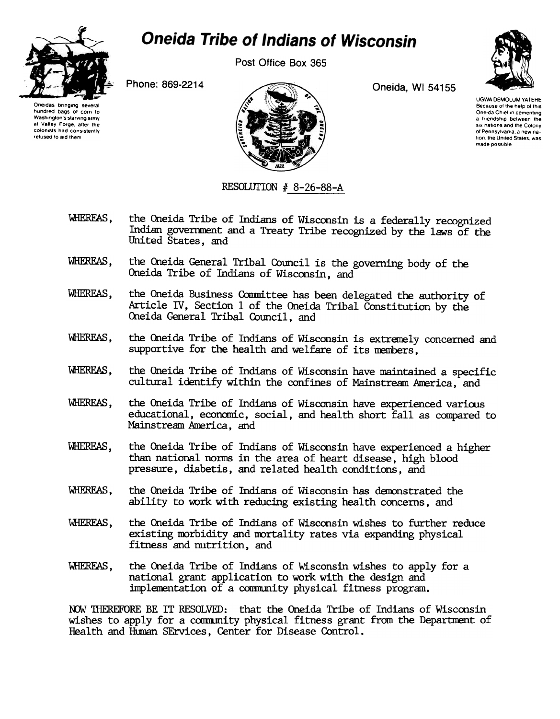

## **Oneida Tribe of Indians of Wisconsin**

Post Office Box 365

Phone: 869-2214 Oneida, WI 54155





UGWA DEMOLUM YATEHE Because of the help of this Oneida Chief in cementing a friendship between the SIX nations and the Colony of Pennsylvania a new nation, the United States, was made poss,ble

RESOLUTION  $#$  8-26-88-A

- WHEREAS, the Oneida Tribe of Indians of Wisconsin is a federally recognized Indian government and a Treaty Tribe recognized by the laws of the United States, and
- WHEREAS, the Oneida General Tribal Council is the governing body of the Oneida Tribe of Indians of Wisconsin, and
- WHEREAS, the Oneida Business Committee has been delegated the authority of Article IV, Section 1 of the Oneida Tribal Constitution by the Oneida General Tribal Council, and
- WHEREAS, the Oneida Tribe of Indians of Wisconsin is extremely concerned and supportive for the health and welfare of its members,
- WHEREAS, the Oneida Tribe of Indians of Wisconsin have maintained a specific cultural identify within the confines of Mainstream America, and
- l;.,lHEREAS, the Oneida Tribe of Indians of Wisconsin have experienced various educational, econcmic, social, and health short fall as compared to Mainstream America, and
- WHEREAS, the Oneida Tribe of Indians of Wisconsin have experienced a higher than national norms in the area of heart disease, high blood pressure, diabetis, and related health conditions, and
- WHEREAS, the Oneida Tribe of Indians of Wisconsin has demonstrated the ability to work with reducing existing health concerns, and
- WHERFAS, the Oneida Tribe of Indians of Wisconsin wishes to further reduce existing morbidity and mortality rates via expanding physical fitness and nutrition, and
- WHERFAS, the Oneida Tribe of Indians of Wisconsin wishes to apply for a national grant application to work with the design and implementation of a community physical fitness program.

NOW THEREFORE BE IT RESOLVED: that the Oneida Tribe of Indians of Wisconsin wishes to apply for a conmmity physical fitness grant from the Departnent of Health and Human SErvices, Center for Disease Control.